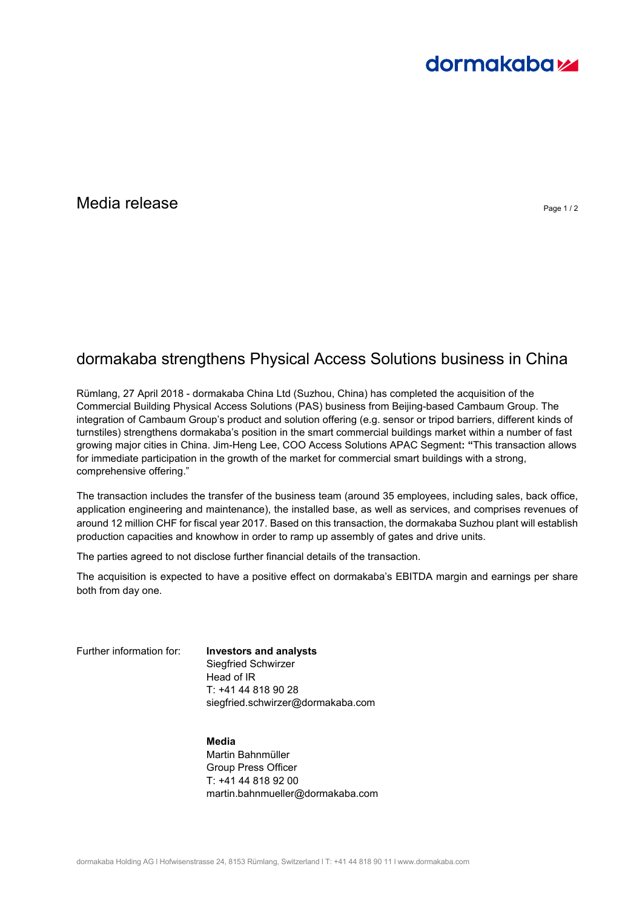# **dormakabazz**

### $\blacksquare$ Media release  $\blacksquare$

## dormakaba strengthens Physical Access Solutions business in China

Rümlang, 27 April 2018 - dormakaba China Ltd (Suzhou, China) has completed the acquisition of the Commercial Building Physical Access Solutions (PAS) business from Beijing-based Cambaum Group. The integration of Cambaum Group's product and solution offering (e.g. sensor or tripod barriers, different kinds of turnstiles) strengthens dormakaba's position in the smart commercial buildings market within a number of fast growing major cities in China. Jim-Heng Lee, COO Access Solutions APAC Segment**: "**This transaction allows for immediate participation in the growth of the market for commercial smart buildings with a strong, comprehensive offering."

The transaction includes the transfer of the business team (around 35 employees, including sales, back office, application engineering and maintenance), the installed base, as well as services, and comprises revenues of around 12 million CHF for fiscal year 2017. Based on this transaction, the dormakaba Suzhou plant will establish production capacities and knowhow in order to ramp up assembly of gates and drive units.

The parties agreed to not disclose further financial details of the transaction.

The acquisition is expected to have a positive effect on dormakaba's EBITDA margin and earnings per share both from day one.

Further information for: **Investors and analysts** Siegfried Schwirzer Head of IR T: +41 44 818 90 28 siegfried.schwirzer@dormakaba.com

> **Media**  Martin Bahnmüller Group Press Officer T: +41 44 818 92 00 martin.bahnmueller@dormakaba.com